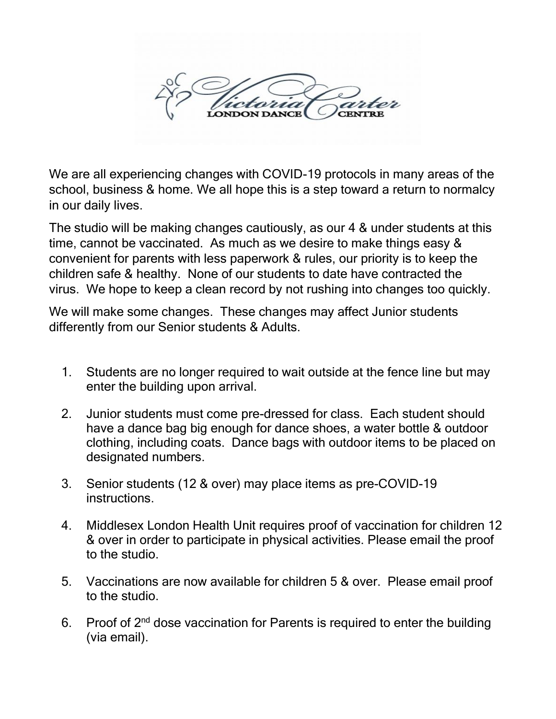

We are all experiencing changes with COVID-19 protocols in many areas of the school, business & home. We all hope this is a step toward a return to normalcy in our daily lives.

The studio will be making changes cautiously, as our 4 & under students at this time, cannot be vaccinated. As much as we desire to make things easy & convenient for parents with less paperwork & rules, our priority is to keep the children safe & healthy. None of our students to date have contracted the virus. We hope to keep a clean record by not rushing into changes too quickly.

We will make some changes. These changes may affect Junior students differently from our Senior students & Adults.

- 1. Students are no longer required to wait outside at the fence line but may enter the building upon arrival.
- 2. Junior students must come pre-dressed for class. Each student should have a dance bag big enough for dance shoes, a water bottle & outdoor clothing, including coats. Dance bags with outdoor items to be placed on designated numbers.
- 3. Senior students (12 & over) may place items as pre-COVID-19 instructions.
- 4. Middlesex London Health Unit requires proof of vaccination for children 12 & over in order to participate in physical activities. Please email the proof to the studio.
- 5. Vaccinations are now available for children 5 & over. Please email proof to the studio.
- 6. Proof of  $2<sup>nd</sup>$  dose vaccination for Parents is required to enter the building (via email).